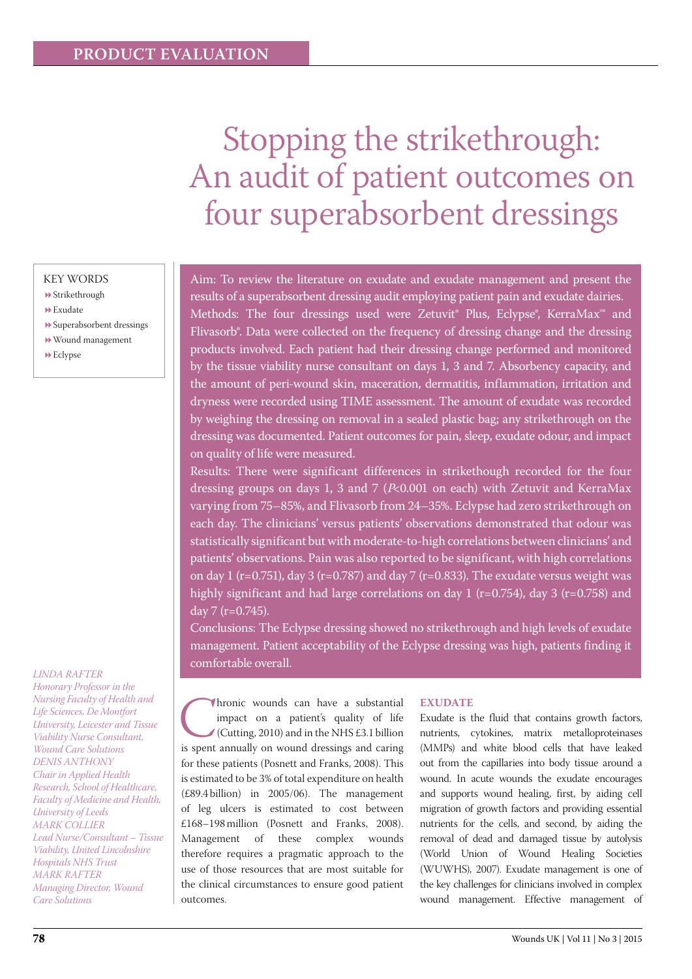# Stopping the strikethrough: An audit of patient outcomes on four superabsorbent dressings

# KEY WORDS

- Strikethrough
- Exudate
- Superabsorbent dressings
- Wound management
- $\blacktriangleright$  Eclypse

#### *LINDA RAFTER*

*Honorary Professor in the Nursing Faculty of Health and Life Sciences, De Montfort University, Leicester and Tissue Viability Nurse Consultant, Wound Care Solutions DENIS ANTHONY Chair in Applied Health Research, School of Healthcare, Faculty of Medicine and Health, University of Leeds MARK COLLIER Lead Nurse/Consultant – Tissue Viability, United Lincolnshire Hospitals NHS Trust MARK RAFTER Managing Director, Wound Care Solutions* 

Aim: To review the literature on exudate and exudate management and present the results of a superabsorbent dressing audit employing patient pain and exudate dairies. Methods: The four dressings used were Zetuvit® Plus, Eclypse®, KerraMax<sup>™</sup> and Flivasorb<sup>®</sup>. Data were collected on the frequency of dressing change and the dressing products involved. Each patient had their dressing change performed and monitored by the tissue viability nurse consultant on days 1, 3 and 7. Absorbency capacity, and the amount of peri-wound skin, maceration, dermatitis, inflammation, irritation and dryness were recorded using TIME assessment. The amount of exudate was recorded by weighing the dressing on removal in a sealed plastic bag; any strikethrough on the dressing was documented. Patient outcomes for pain, sleep, exudate odour, and impact on quality of life were measured.

Results: There were significant differences in strikethough recorded for the four dressing groups on days 1, 3 and 7 ( $P<0.001$  on each) with Zetuvit and KerraMax varying from 75–85%, and Flivasorb from 24–35%. Eclypse had zero strikethrough on each day. The clinicians' versus patients' observations demonstrated that odour was statistically significant but with moderate-to-high correlations between clinicians' and patients' observations. Pain was also reported to be significant, with high correlations on day 1 ( $r=0.751$ ), day 3 ( $r=0.787$ ) and day 7 ( $r=0.833$ ). The exudate versus weight was highly significant and had large correlations on day 1 ( $r=0.754$ ), day 3 ( $r=0.758$ ) and day 7 (r=0.745).

Conclusions: The Eclypse dressing showed no strikethrough and high levels of exudate management. Patient acceptability of the Eclypse dressing was high, patients finding it comfortable overall.

**Chronic wounds can have a substantial impact on a patient's quality of life (Cutting, 2010) and in the NHS £3.1 billion is spent annually on wound dressings and caring** impact on a patient's quality of life (Cutting, 2010) and in the NHS £3.1 billion for these patients (Posnett and Franks, 2008). This is estimated to be 3% of total expenditure on health (£89.4 billion) in 2005/06). The management of leg ulcers is estimated to cost between £168–198 million (Posnett and Franks, 2008). Management of these complex wounds therefore requires a pragmatic approach to the use of those resources that are most suitable for the clinical circumstances to ensure good patient outcomes.

#### **EXUDATE**

Exudate is the fluid that contains growth factors, nutrients, cytokines, matrix metalloproteinases (MMPs) and white blood cells that have leaked out from the capillaries into body tissue around a wound. In acute wounds the exudate encourages and supports wound healing, first, by aiding cell migration of growth factors and providing essential nutrients for the cells, and second, by aiding the removal of dead and damaged tissue by autolysis (World Union of Wound Healing Societies (WUWHS), 2007). Exudate management is one of the key challenges for clinicians involved in complex wound management. Effective management of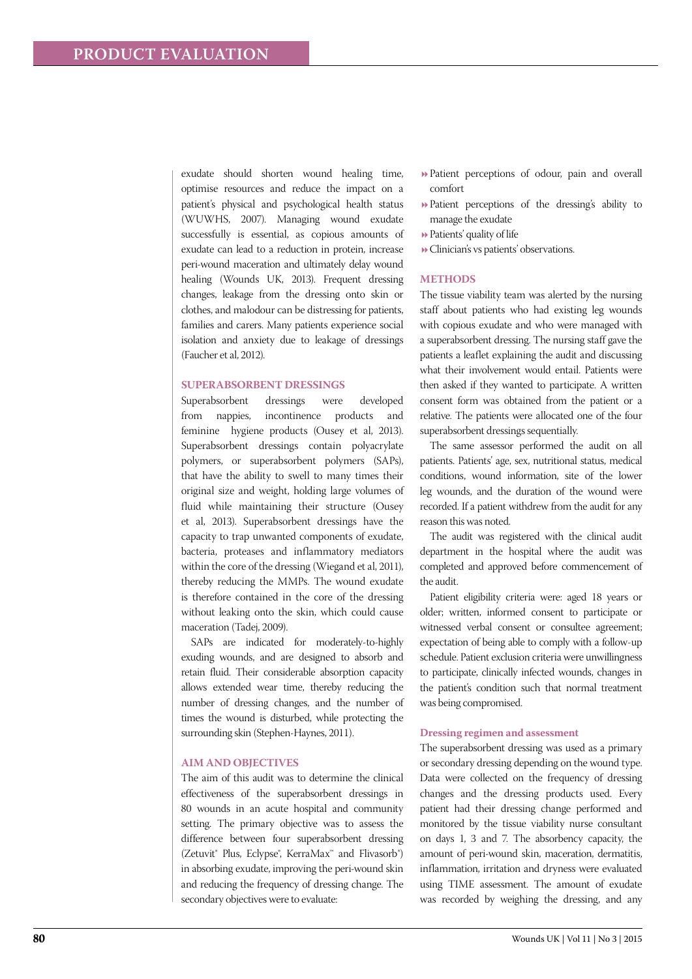exudate should shorten wound healing time, optimise resources and reduce the impact on a patient's physical and psychological health status (WUWHS, 2007). Managing wound exudate successfully is essential, as copious amounts of exudate can lead to a reduction in protein, increase peri-wound maceration and ultimately delay wound healing (Wounds UK, 2013). Frequent dressing changes, leakage from the dressing onto skin or clothes, and malodour can be distressing for patients, families and carers. Many patients experience social isolation and anxiety due to leakage of dressings (Faucher et al, 2012).

#### **Superabsorbent dress ings**

Superabsorbent dressings were developed from nappies, incontinence products and feminine hygiene products (Ousey et al, 2013). Superabsorbent dressings contain polyacrylate polymers, or superabsorbent polymers (SAPs), that have the ability to swell to many times their original size and weight, holding large volumes of fluid while maintaining their structure (Ousey et al, 2013). Superabsorbent dressings have the capacity to trap unwanted components of exudate, bacteria, proteases and inflammatory mediators within the core of the dressing (Wiegand et al, 2011), thereby reducing the MMPs. The wound exudate is therefore contained in the core of the dressing without leaking onto the skin, which could cause maceration (Tadej, 2009).

SAPs are indicated for moderately-to-highly exuding wounds, and are designed to absorb and retain fluid. Their considerable absorption capacity allows extended wear time, thereby reducing the number of dressing changes, and the number of times the wound is disturbed, while protecting the surrounding skin (Stephen-Haynes, 2011).

#### **Aim and objectives**

The aim of this audit was to determine the clinical effectiveness of the superabsorbent dressings in 80 wounds in an acute hospital and community setting. The primary objective was to assess the difference between four superabsorbent dressing (Zetuvit® Plus, Eclypse®, KerraMax™ and Flivasorb®) in absorbing exudate, improving the peri-wound skin and reducing the frequency of dressing change. The secondary objectives were to evaluate:

- Patient perceptions of odour, pain and overall comfort
- Patient perceptions of the dressing's ability to manage the exudate
- Patients' quality of life
- Clinician's vs patients' observations.

#### **Methods**

The tissue viability team was alerted by the nursing staff about patients who had existing leg wounds with copious exudate and who were managed with a superabsorbent dressing. The nursing staff gave the patients a leaflet explaining the audit and discussing what their involvement would entail. Patients were then asked if they wanted to participate. A written consent form was obtained from the patient or a relative. The patients were allocated one of the four superabsorbent dressings sequentially.

The same assessor performed the audit on all patients. Patients' age, sex, nutritional status, medical conditions, wound information, site of the lower leg wounds, and the duration of the wound were recorded. If a patient withdrew from the audit for any reason this was noted.

The audit was registered with the clinical audit department in the hospital where the audit was completed and approved before commencement of the audit.

Patient eligibility criteria were: aged 18 years or older; written, informed consent to participate or witnessed verbal consent or consultee agreement; expectation of being able to comply with a follow-up schedule. Patient exclusion criteria were unwillingness to participate, clinically infected wounds, changes in the patient's condition such that normal treatment was being compromised.

#### **Dressing regimen and assessment**

The superabsorbent dressing was used as a primary or secondary dressing depending on the wound type. Data were collected on the frequency of dressing changes and the dressing products used. Every patient had their dressing change performed and monitored by the tissue viability nurse consultant on days 1, 3 and 7. The absorbency capacity, the amount of peri-wound skin, maceration, dermatitis, inflammation, irritation and dryness were evaluated using TIME assessment. The amount of exudate was recorded by weighing the dressing, and any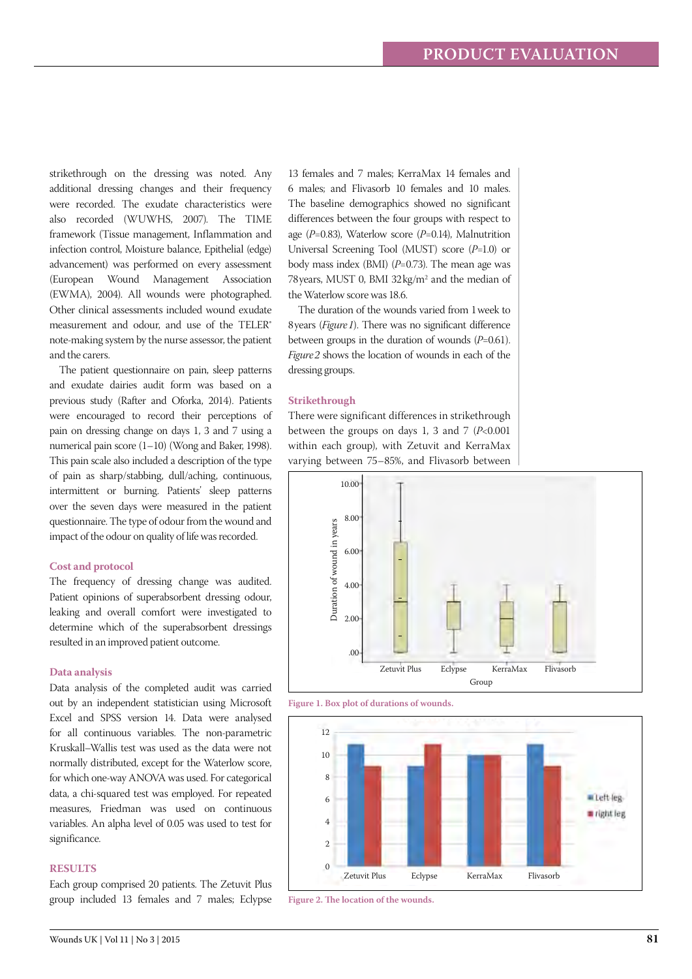strikethrough on the dressing was noted. Any additional dressing changes and their frequency were recorded. The exudate characteristics were also recorded (WUWHS, 2007). The TIME framework (Tissue management, Inflammation and infection control, Moisture balance, Epithelial (edge) advancement) was performed on every assessment (European Wound Management Association (EWMA), 2004). All wounds were photographed. Other clinical assessments included wound exudate measurement and odour, and use of the TELER® note-making system by the nurse assessor, the patient and the carers.

The patient questionnaire on pain, sleep patterns and exudate dairies audit form was based on a previous study (Rafter and Oforka, 2014). Patients were encouraged to record their perceptions of pain on dressing change on days 1, 3 and 7 using a numerical pain score (1–10) (Wong and Baker, 1998). This pain scale also included a description of the type of pain as sharp/stabbing, dull/aching, continuous, intermittent or burning. Patients' sleep patterns over the seven days were measured in the patient questionnaire. The type of odour from the wound and impact of the odour on quality of life was recorded.

#### **Cost and protocol**

The frequency of dressing change was audited. Patient opinions of superabsorbent dressing odour, leaking and overall comfort were investigated to determine which of the superabsorbent dressings resulted in an improved patient outcome.

#### **Data analysis**

Data analysis of the completed audit was carried out by an independent statistician using Microsoft Excel and SPSS version 14. Data were analysed for all continuous variables. The non-parametric Kruskall–Wallis test was used as the data were not normally distributed, except for the Waterlow score, for which one-way ANOVA was used. For categorical data, a chi-squared test was employed. For repeated measures, Friedman was used on continuous variables. An alpha level of 0.05 was used to test for significance.

#### **Results**

Each group comprised 20 patients. The Zetuvit Plus group included 13 females and 7 males; Eclypse 13 females and 7 males; KerraMax 14 females and 6 males; and Flivasorb 10 females and 10 males. The baseline demographics showed no significant differences between the four groups with respect to age (*P*=0.83), Waterlow score (*P*=0.14), Malnutrition Universal Screening Tool (MUST) score (*P*=1.0) or body mass index (BMI) (*P*=0.73). The mean age was 78 years, MUST 0, BMI 32kg/m<sup>2</sup> and the median of the Waterlow score was 18.6.

The duration of the wounds varied from 1week to 8years (*Figure1*). There was no significant difference between groups in the duration of wounds (*P*=0.61). *Figure2* shows the location of wounds in each of the dressing groups.

#### **Strikethrough**

There were significant differences in strikethrough between the groups on days 1, 3 and 7 (*P*<0.001 within each group), with Zetuvit and KerraMax varying between 75–85%, and Flivasorb between







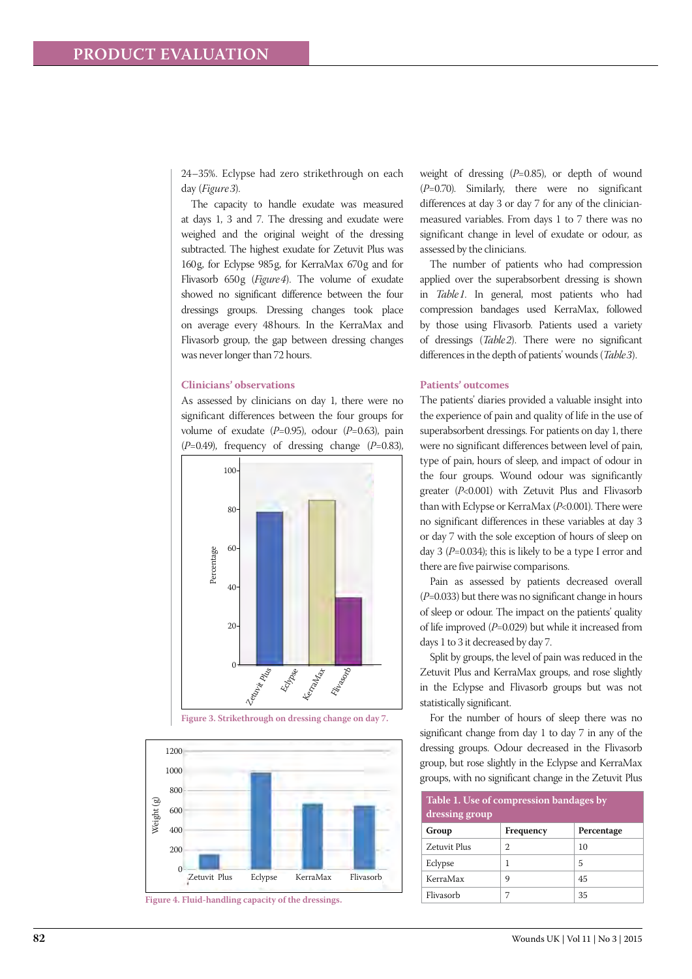24–35%. Eclypse had zero strikethrough on each day (*Figure 3*).

The capacity to handle exudate was measured at days 1, 3 and 7. The dressing and exudate were weighed and the original weight of the dressing subtracted. The highest exudate for Zetuvit Plus was 160g, for Eclypse 985g, for KerraMax 670g and for Flivasorb 650g (*Figure4*). The volume of exudate showed no significant difference between the four dressings groups. Dressing changes took place on average every 48hours. In the KerraMax and Flivasorb group, the gap between dressing changes was never longer than 72 hours.

#### **Clinicians' observations**

As assessed by clinicians on day 1, there were no significant differences between the four groups for volume of exudate (*P*=0.95), odour (*P*=0.63), pain (*P*=0.49), frequency of dressing change (*P*=0.83),



**Figure 3. Strikethrough on dressing change on day 7.**



weight of dressing (*P*=0.85), or depth of wound (*P*=0.70). Similarly, there were no significant differences at day 3 or day 7 for any of the clinicianmeasured variables. From days 1 to 7 there was no significant change in level of exudate or odour, as assessed by the clinicians.

The number of patients who had compression applied over the superabsorbent dressing is shown in *Table1*. In general, most patients who had compression bandages used KerraMax, followed by those using Flivasorb. Patients used a variety of dressings (*Table2*). There were no significant differences in the depth of patients' wounds (*Table3*).

#### **Patients' outcomes**

The patients' diaries provided a valuable insight into the experience of pain and quality of life in the use of superabsorbent dressings. For patients on day 1, there were no significant differences between level of pain, type of pain, hours of sleep, and impact of odour in the four groups. Wound odour was significantly greater (*P*<0.001) with Zetuvit Plus and Flivasorb than with Eclypse or KerraMax (*P*<0.001). There were no significant differences in these variables at day 3 or day 7 with the sole exception of hours of sleep on day 3 (*P*=0.034); this is likely to be a type I error and there are five pairwise comparisons.

Pain as assessed by patients decreased overall (*P*=0.033) but there was no significant change in hours of sleep or odour. The impact on the patients' quality of life improved (*P*=0.029) but while it increased from days 1 to 3 it decreased by day 7.

Split by groups, the level of pain was reduced in the Zetuvit Plus and KerraMax groups, and rose slightly in the Eclypse and Flivasorb groups but was not statistically significant.

For the number of hours of sleep there was no significant change from day 1 to day 7 in any of the dressing groups. Odour decreased in the Flivasorb group, but rose slightly in the Eclypse and KerraMax groups, with no significant change in the Zetuvit Plus

| Table 1. Use of compression bandages by<br>dressing group |           |            |  |  |  |
|-----------------------------------------------------------|-----------|------------|--|--|--|
| Group                                                     | Frequency | Percentage |  |  |  |
| Zetuvit Plus                                              | 2         | 10         |  |  |  |
| Eclypse                                                   | 1         | 5          |  |  |  |
| KerraMax                                                  | 9         | 45         |  |  |  |
| Flivasorb                                                 |           | 35         |  |  |  |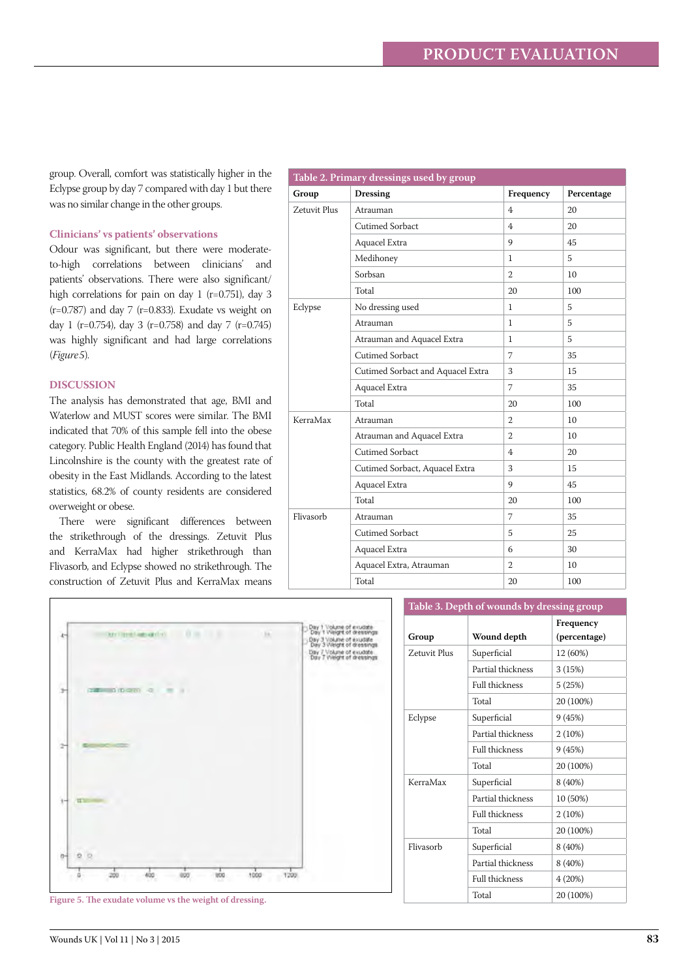group. Overall, comfort was statistically higher in the Eclypse group by day 7 compared with day 1 but there was no similar change in the other groups.

## **Clinicians' vs patients' observations**

Odour was significant, but there were moderateto-high correlations between clinicians' and patients' observations. There were also significant/ high correlations for pain on day 1 (r=0.751), day 3  $(r=0.787)$  and day 7 (r=0.833). Exudate vs weight on day 1 (r=0.754), day 3 (r=0.758) and day 7 (r=0.745) was highly significant and had large correlations (*Figure5*).

#### **DISCUSSION**

 $\overline{1}$ 

The analysis has demonstrated that age, BMI and Waterlow and MUST scores were similar. The BMI indicated that 70% of this sample fell into the obese category. Public Health England (2014) has found that Lincolnshire is the county with the greatest rate of obesity in the East Midlands. According to the latest statistics, 68.2% of county residents are considered overweight or obese.

There were significant differences between the strikethrough of the dressings. Zetuvit Plus and KerraMax had higher strikethrough than Flivasorb, and Eclypse showed no strikethrough. The construction of Zetuvit Plus and KerraMax means

| Table 2. Primary dressings used by group |                                   |                |                 |  |  |
|------------------------------------------|-----------------------------------|----------------|-----------------|--|--|
| Group                                    | <b>Dressing</b>                   | Frequency      | Percentage      |  |  |
| Zetuvit Plus                             | Atrauman                          | $\overline{4}$ | 20              |  |  |
|                                          | Cutimed Sorbact                   | 4              | 20              |  |  |
|                                          | Aquacel Extra                     | 9              | 45              |  |  |
|                                          | Medihoney                         | 1              | 5               |  |  |
|                                          | Sorbsan                           | $\overline{2}$ | 10 <sup>1</sup> |  |  |
|                                          | Total                             | 20             | 100             |  |  |
| Eclypse                                  | No dressing used                  | $\mathbf{1}$   | 5               |  |  |
|                                          | Atrauman                          | $\mathbf{1}$   | 5               |  |  |
|                                          | Atrauman and Aquacel Extra        | $\mathbf{1}$   | 5               |  |  |
|                                          | Cutimed Sorbact                   | 7              | 35              |  |  |
|                                          | Cutimed Sorbact and Aquacel Extra | 3              | 15              |  |  |
|                                          | Aquacel Extra                     | $\overline{7}$ | 35              |  |  |
|                                          | Total                             | 20             | 100             |  |  |
| KerraMax                                 | Atrauman                          | 2              | 10              |  |  |
|                                          | Atrauman and Aquacel Extra        | $\overline{2}$ | 10 <sup>1</sup> |  |  |
|                                          | Cutimed Sorbact                   | 4              | 20              |  |  |
|                                          | Cutimed Sorbact, Aquacel Extra    | 3              | 15              |  |  |
|                                          | Aquacel Extra                     | 9              | 45              |  |  |
|                                          | Total                             | 20             | 100             |  |  |
| Flivasorb                                | Atrauman                          | $\overline{7}$ | 35              |  |  |
|                                          | Cutimed Sorbact                   | 5              | 25              |  |  |
|                                          | Aquacel Extra                     | 6              | 30              |  |  |
|                                          | Aquacel Extra, Atrauman           | $\overline{2}$ | 10 <sup>1</sup> |  |  |
|                                          | Total                             | 20             | 100             |  |  |

|                                                         |                                                                                                                | Table 3. Depth of wounds by dressing group |                   |                           |
|---------------------------------------------------------|----------------------------------------------------------------------------------------------------------------|--------------------------------------------|-------------------|---------------------------|
| Tel://media.com/com/<br>TT 100<br>is.                   | Day 1 Volume of exudate<br>Day 1 Vieight of dressings<br>Day 3 Volume of exutate<br>Day 3 Vielght of dressings | Group                                      | Wound depth       | Frequency<br>(percentage) |
|                                                         | Day 7 Volume of exudate<br>Day 7 Vielght of dressings<br>Zetuvit Plus<br>Eclypse<br>KerraMax                   |                                            | Superficial       | 12 (60%)                  |
|                                                         |                                                                                                                |                                            | Partial thickness | 3(15%)                    |
| <b>CONTINUES (THERE)</b> OF<br>×<br>$\rightarrow$       |                                                                                                                |                                            | Full thickness    | 5(25%)                    |
|                                                         |                                                                                                                |                                            | Total             | 20 (100%)                 |
|                                                         |                                                                                                                | Superficial                                | 9(45%)            |                           |
|                                                         |                                                                                                                |                                            | Partial thickness | 2(10%)                    |
| <b>Common Control</b><br>÷                              |                                                                                                                |                                            | Full thickness    | 9(45%)                    |
|                                                         |                                                                                                                |                                            | Total             | 20 (100%)                 |
|                                                         |                                                                                                                |                                            | Superficial       | 8 (40%)                   |
| TE Au                                                   |                                                                                                                | Partial thickness                          | 10 (50%)          |                           |
|                                                         |                                                                                                                |                                            | Full thickness    | $2(10\%)$                 |
|                                                         |                                                                                                                |                                            | Total             | 20 (100%)                 |
|                                                         |                                                                                                                | Flivasorb                                  | Superficial       | 8 (40%)                   |
| o<br>ъi                                                 |                                                                                                                |                                            | Partial thickness | 8 (40%)                   |
| 400<br>uco<br>1000<br>- 1200<br>200<br>800              |                                                                                                                |                                            | Full thickness    | 4(20%)                    |
| Figure 5. The exudate volume vs the weight of dressing. |                                                                                                                |                                            | Total             | 20 (100%)                 |
|                                                         |                                                                                                                |                                            |                   |                           |

Wounds UK | Vol 11 | No 3 | 2015 **83**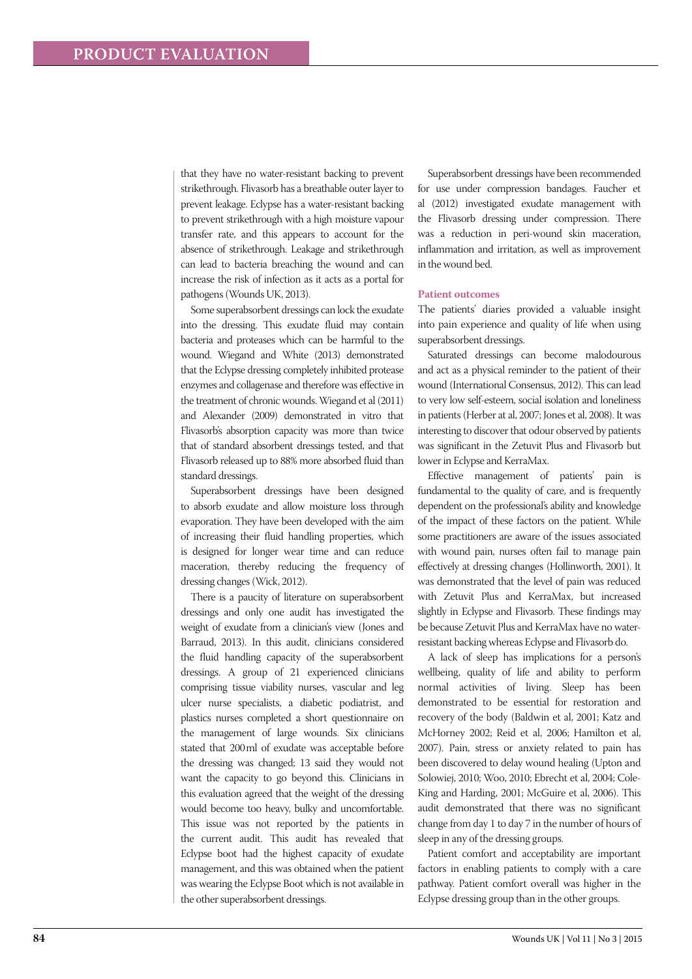that they have no water-resistant backing to prevent strikethrough. Flivasorb has a breathable outer layer to prevent leakage. Eclypse has a water-resistant backing to prevent strikethrough with a high moisture vapour transfer rate, and this appears to account for the absence of strikethrough. Leakage and strikethrough can lead to bacteria breaching the wound and can increase the risk of infection as it acts as a portal for pathogens (Wounds UK, 2013).

Some superabsorbent dressings can lock the exudate into the dressing. This exudate fluid may contain bacteria and proteases which can be harmful to the wound. Wiegand and White (2013) demonstrated that the Eclypse dressing completely inhibited protease enzymes and collagenase and therefore was effective in the treatment of chronic wounds. Wiegand et al (2011) and Alexander (2009) demonstrated in vitro that Flivasorb's absorption capacity was more than twice that of standard absorbent dressings tested, and that Flivasorb released up to 88% more absorbed fluid than standard dressings.

Superabsorbent dressings have been designed to absorb exudate and allow moisture loss through evaporation. They have been developed with the aim of increasing their fluid handling properties, which is designed for longer wear time and can reduce maceration, thereby reducing the frequency of dressing changes (Wick, 2012).

There is a paucity of literature on superabsorbent dressings and only one audit has investigated the weight of exudate from a clinician's view (Jones and Barraud, 2013). In this audit, clinicians considered the fluid handling capacity of the superabsorbent dressings. A group of 21 experienced clinicians comprising tissue viability nurses, vascular and leg ulcer nurse specialists, a diabetic podiatrist, and plastics nurses completed a short questionnaire on the management of large wounds. Six clinicians stated that 200ml of exudate was acceptable before the dressing was changed; 13 said they would not want the capacity to go beyond this. Clinicians in this evaluation agreed that the weight of the dressing would become too heavy, bulky and uncomfortable. This issue was not reported by the patients in the current audit. This audit has revealed that Eclypse boot had the highest capacity of exudate management, and this was obtained when the patient was wearing the Eclypse Boot which is not available in the other superabsorbent dressings.

Superabsorbent dressings have been recommended for use under compression bandages. Faucher et al (2012) investigated exudate management with the Flivasorb dressing under compression. There was a reduction in peri-wound skin maceration, inflammation and irritation, as well as improvement in the wound bed.

#### **Patient outcomes**

The patients' diaries provided a valuable insight into pain experience and quality of life when using superabsorbent dressings.

Saturated dressings can become malodourous and act as a physical reminder to the patient of their wound (International Consensus, 2012). This can lead to very low self-esteem, social isolation and loneliness in patients (Herber at al, 2007; Jones et al, 2008). It was interesting to discover that odour observed by patients was significant in the Zetuvit Plus and Flivasorb but lower in Eclypse and KerraMax.

Effective management of patients' pain is fundamental to the quality of care, and is frequently dependent on the professional's ability and knowledge of the impact of these factors on the patient. While some practitioners are aware of the issues associated with wound pain, nurses often fail to manage pain effectively at dressing changes (Hollinworth, 2001). It was demonstrated that the level of pain was reduced with Zetuvit Plus and KerraMax, but increased slightly in Eclypse and Flivasorb. These findings may be because Zetuvit Plus and KerraMax have no waterresistant backing whereas Eclypse and Flivasorb do.

A lack of sleep has implications for a person's wellbeing, quality of life and ability to perform normal activities of living. Sleep has been demonstrated to be essential for restoration and recovery of the body (Baldwin et al, 2001; Katz and McHorney 2002; Reid et al, 2006; Hamilton et al, 2007). Pain, stress or anxiety related to pain has been discovered to delay wound healing (Upton and Solowiej, 2010; Woo, 2010; Ebrecht et al, 2004; Cole-King and Harding, 2001; McGuire et al, 2006). This audit demonstrated that there was no significant change from day 1 to day 7 in the number of hours of sleep in any of the dressing groups.

Patient comfort and acceptability are important factors in enabling patients to comply with a care pathway. Patient comfort overall was higher in the Eclypse dressing group than in the other groups.